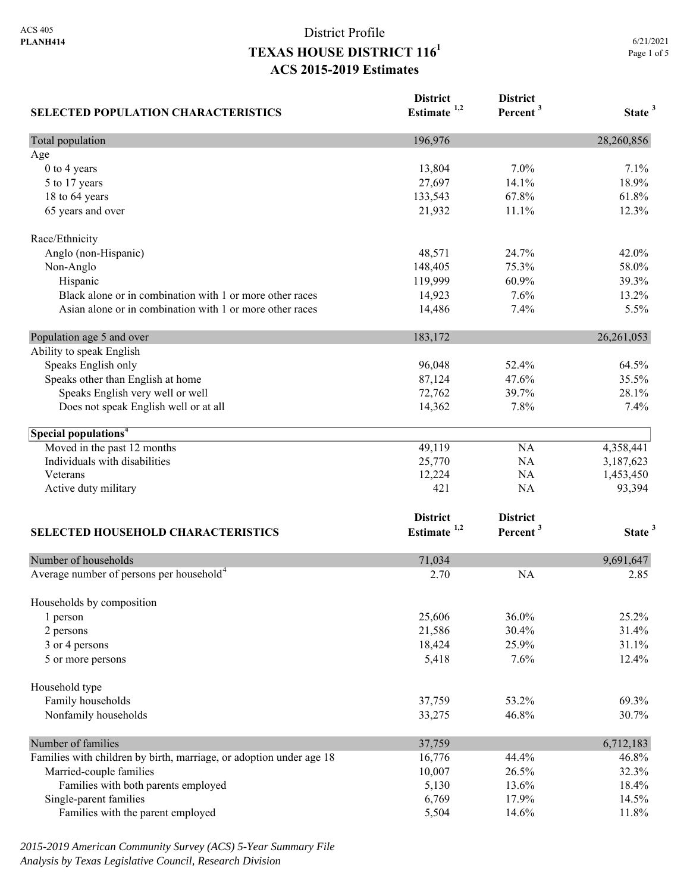| <b>SELECTED POPULATION CHARACTERISTICS</b>                                                                                                                                                                                 | <b>District</b><br>Estimate <sup>1,2</sup>            | <b>District</b><br>Percent <sup>3</sup>   | State <sup>3</sup>                                     |
|----------------------------------------------------------------------------------------------------------------------------------------------------------------------------------------------------------------------------|-------------------------------------------------------|-------------------------------------------|--------------------------------------------------------|
| Total population                                                                                                                                                                                                           | 196,976                                               |                                           | 28,260,856                                             |
| Age                                                                                                                                                                                                                        |                                                       |                                           |                                                        |
| 0 to 4 years                                                                                                                                                                                                               | 13,804                                                | $7.0\%$                                   | 7.1%                                                   |
| 5 to 17 years                                                                                                                                                                                                              | 27,697                                                | 14.1%                                     | 18.9%                                                  |
| 18 to 64 years                                                                                                                                                                                                             | 133,543                                               | 67.8%                                     | 61.8%                                                  |
| 65 years and over                                                                                                                                                                                                          | 21,932                                                | 11.1%                                     | 12.3%                                                  |
| Race/Ethnicity                                                                                                                                                                                                             |                                                       |                                           |                                                        |
| Anglo (non-Hispanic)                                                                                                                                                                                                       | 48,571                                                | 24.7%                                     | 42.0%                                                  |
| Non-Anglo                                                                                                                                                                                                                  | 148,405                                               | 75.3%                                     | 58.0%                                                  |
| Hispanic                                                                                                                                                                                                                   | 119,999                                               | 60.9%                                     | 39.3%                                                  |
| Black alone or in combination with 1 or more other races                                                                                                                                                                   | 14,923                                                | 7.6%                                      | 13.2%                                                  |
| Asian alone or in combination with 1 or more other races                                                                                                                                                                   | 14,486                                                | 7.4%                                      | 5.5%                                                   |
| Population age 5 and over                                                                                                                                                                                                  | 183,172                                               |                                           | 26, 261, 053                                           |
| Ability to speak English                                                                                                                                                                                                   |                                                       |                                           |                                                        |
| Speaks English only                                                                                                                                                                                                        | 96,048                                                | 52.4%                                     | 64.5%                                                  |
| Speaks other than English at home                                                                                                                                                                                          | 87,124                                                | 47.6%                                     | 35.5%                                                  |
| Speaks English very well or well                                                                                                                                                                                           | 72,762                                                | 39.7%                                     | 28.1%                                                  |
| Does not speak English well or at all                                                                                                                                                                                      | 14,362                                                | 7.8%                                      | 7.4%                                                   |
| Special populations <sup>4</sup>                                                                                                                                                                                           |                                                       |                                           |                                                        |
| Moved in the past 12 months                                                                                                                                                                                                | 49,119                                                | <b>NA</b>                                 | 4,358,441                                              |
| Individuals with disabilities                                                                                                                                                                                              | 25,770                                                | <b>NA</b>                                 | 3,187,623                                              |
| Veterans                                                                                                                                                                                                                   | 12,224                                                | <b>NA</b>                                 | 1,453,450                                              |
| Active duty military                                                                                                                                                                                                       | 421                                                   | <b>NA</b>                                 | 93,394                                                 |
|                                                                                                                                                                                                                            | <b>District</b>                                       | <b>District</b>                           |                                                        |
| <b>SELECTED HOUSEHOLD CHARACTERISTICS</b>                                                                                                                                                                                  | Estimate $1,2$                                        | Percent <sup>3</sup>                      | State <sup>3</sup>                                     |
| Number of households                                                                                                                                                                                                       | 71,034                                                |                                           | 9,691,647                                              |
| Average number of persons per household <sup>4</sup>                                                                                                                                                                       | 2.70                                                  | <b>NA</b>                                 | 2.85                                                   |
|                                                                                                                                                                                                                            |                                                       |                                           |                                                        |
| Households by composition<br>1 person                                                                                                                                                                                      | 25,606                                                | 36.0%                                     | 25.2%                                                  |
| 2 persons                                                                                                                                                                                                                  | 21,586                                                | 30.4%                                     | 31.4%                                                  |
| 3 or 4 persons                                                                                                                                                                                                             | 18,424                                                | 25.9%                                     | 31.1%                                                  |
| 5 or more persons                                                                                                                                                                                                          | 5,418                                                 | 7.6%                                      | 12.4%                                                  |
| Household type                                                                                                                                                                                                             |                                                       |                                           |                                                        |
| Family households                                                                                                                                                                                                          | 37,759                                                | 53.2%                                     | 69.3%                                                  |
| Nonfamily households                                                                                                                                                                                                       | 33,275                                                | 46.8%                                     | 30.7%                                                  |
|                                                                                                                                                                                                                            |                                                       |                                           |                                                        |
|                                                                                                                                                                                                                            |                                                       |                                           |                                                        |
|                                                                                                                                                                                                                            |                                                       |                                           |                                                        |
|                                                                                                                                                                                                                            |                                                       |                                           |                                                        |
|                                                                                                                                                                                                                            |                                                       |                                           |                                                        |
|                                                                                                                                                                                                                            |                                                       |                                           |                                                        |
| Number of families<br>Families with children by birth, marriage, or adoption under age 18<br>Married-couple families<br>Families with both parents employed<br>Single-parent families<br>Families with the parent employed | 37,759<br>16,776<br>10,007<br>5,130<br>6,769<br>5,504 | 44.4%<br>26.5%<br>13.6%<br>17.9%<br>14.6% | 6,712,183<br>46.8%<br>32.3%<br>18.4%<br>14.5%<br>11.8% |

*2015-2019 American Community Survey (ACS) 5-Year Summary File Analysis by Texas Legislative Council, Research Division*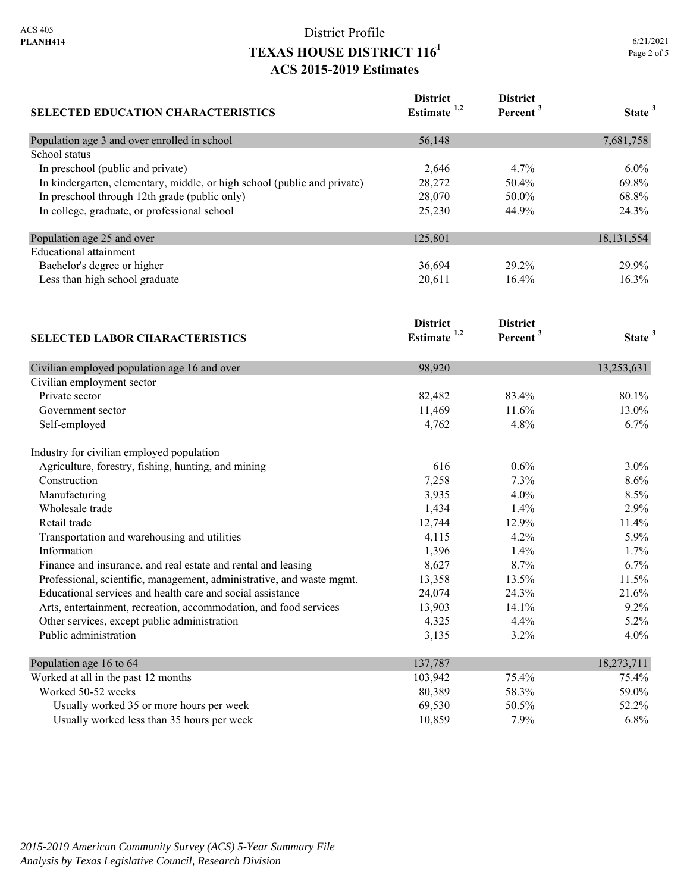| <b>SELECTED EDUCATION CHARACTERISTICS</b>                                | <b>District</b><br>Estimate <sup>1,2</sup> | <b>District</b><br>Percent <sup>3</sup> | State <sup>3</sup> |
|--------------------------------------------------------------------------|--------------------------------------------|-----------------------------------------|--------------------|
| Population age 3 and over enrolled in school                             | 56,148                                     |                                         | 7,681,758          |
| School status                                                            |                                            |                                         |                    |
| In preschool (public and private)                                        | 2,646                                      | 4.7%                                    | $6.0\%$            |
| In kindergarten, elementary, middle, or high school (public and private) | 28,272                                     | 50.4%                                   | 69.8%              |
| In preschool through 12th grade (public only)                            | 28,070                                     | 50.0%                                   | 68.8%              |
| In college, graduate, or professional school                             | 25,230                                     | 44.9%                                   | 24.3%              |
| Population age 25 and over                                               | 125,801                                    |                                         | 18, 131, 554       |
| <b>Educational</b> attainment                                            |                                            |                                         |                    |
| Bachelor's degree or higher                                              | 36,694                                     | 29.2%                                   | 29.9%              |
| Less than high school graduate                                           | 20,611                                     | 16.4%                                   | 16.3%              |
|                                                                          | <b>District</b>                            | <b>District</b>                         |                    |
| <b>SELECTED LABOR CHARACTERISTICS</b>                                    | Estimate $1,2$                             | Percent <sup>3</sup>                    | State <sup>3</sup> |
| Civilian employed population age 16 and over                             | 98,920                                     |                                         | 13,253,631         |
| Civilian employment sector                                               |                                            |                                         |                    |
| Private sector                                                           | 82,482                                     | 83.4%                                   | 80.1%              |
| Government sector                                                        | 11,469                                     | 11.6%                                   | 13.0%              |
| Self-employed                                                            | 4,762                                      | 4.8%                                    | 6.7%               |
| Industry for civilian employed population                                |                                            |                                         |                    |
| Agriculture, forestry, fishing, hunting, and mining                      | 616                                        | 0.6%                                    | $3.0\%$            |
| Construction                                                             | 7,258                                      | 7.3%                                    | 8.6%               |
| Manufacturing                                                            | 3,935                                      | 4.0%                                    | 8.5%               |
| Wholesale trade                                                          | 1,434                                      | 1.4%                                    | 2.9%               |
| Retail trade                                                             | 12,744                                     | 12.9%                                   | 11.4%              |
| Transportation and warehousing and utilities                             | 4,115                                      | 4.2%                                    | 5.9%               |
| Information                                                              | 1,396                                      | 1.4%                                    | 1.7%               |
| Finance and insurance, and real estate and rental and leasing            | 8,627                                      | 8.7%                                    | 6.7%               |
| Professional, scientific, management, administrative, and waste mgmt.    | 13,358                                     | 13.5%                                   | 11.5%              |
| Educational services and health care and social assistance               | 24,074                                     | 24.3%                                   | 21.6%              |
| Arts, entertainment, recreation, accommodation, and food services        | 13,903                                     | 14.1%                                   | 9.2%               |
| Other services, except public administration                             | 4,325                                      | 4.4%                                    | 5.2%               |
| Public administration                                                    | 3,135                                      | 3.2%                                    | 4.0%               |
| Population age 16 to 64                                                  | 137,787                                    |                                         | 18,273,711         |
| Worked at all in the past 12 months                                      | 103,942                                    | 75.4%                                   | 75.4%              |
| Worked 50-52 weeks                                                       | 80,389                                     | 58.3%                                   | 59.0%              |
| Usually worked 35 or more hours per week                                 | 69,530                                     | 50.5%                                   | 52.2%              |
| Usually worked less than 35 hours per week                               | 10,859                                     | 7.9%                                    | 6.8%               |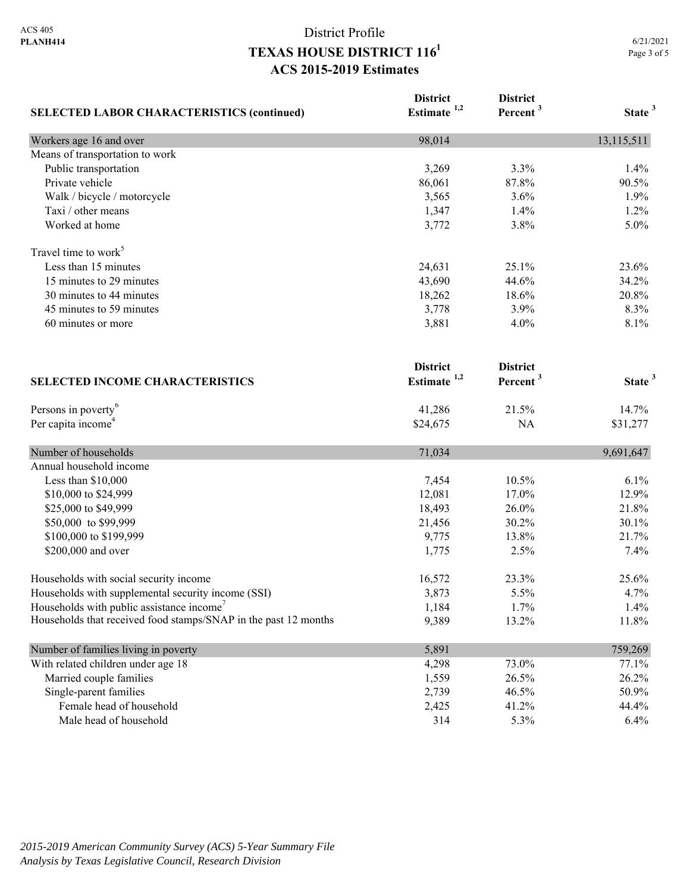| <b>SELECTED LABOR CHARACTERISTICS (continued)</b>               | <b>District</b><br>Estimate $1,2$ | <b>District</b><br>Percent <sup>3</sup> | State <sup>3</sup> |
|-----------------------------------------------------------------|-----------------------------------|-----------------------------------------|--------------------|
| Workers age 16 and over                                         | 98,014                            |                                         | 13,115,511         |
| Means of transportation to work                                 |                                   |                                         |                    |
| Public transportation                                           | 3,269                             | 3.3%                                    | 1.4%               |
| Private vehicle                                                 | 86,061                            | 87.8%                                   | 90.5%              |
| Walk / bicycle / motorcycle                                     | 3,565                             | 3.6%                                    | 1.9%               |
| Taxi / other means                                              | 1,347                             | 1.4%                                    | 1.2%               |
| Worked at home                                                  | 3,772                             | 3.8%                                    | 5.0%               |
| Travel time to work <sup>5</sup>                                |                                   |                                         |                    |
| Less than 15 minutes                                            | 24,631                            | 25.1%                                   | 23.6%              |
| 15 minutes to 29 minutes                                        | 43,690                            | 44.6%                                   | 34.2%              |
| 30 minutes to 44 minutes                                        | 18,262                            | 18.6%                                   | 20.8%              |
| 45 minutes to 59 minutes                                        | 3,778                             | 3.9%                                    | 8.3%               |
| 60 minutes or more                                              | 3,881                             | 4.0%                                    | 8.1%               |
|                                                                 | <b>District</b>                   | <b>District</b>                         |                    |
| <b>SELECTED INCOME CHARACTERISTICS</b>                          | Estimate $1,2$                    | Percent <sup>3</sup>                    | State <sup>3</sup> |
| Persons in poverty <sup>6</sup>                                 | 41,286                            | 21.5%                                   | 14.7%              |
| Per capita income <sup>4</sup>                                  | \$24,675                          | NA                                      | \$31,277           |
| Number of households                                            | 71,034                            |                                         | 9,691,647          |
| Annual household income                                         |                                   |                                         |                    |
| Less than \$10,000                                              | 7,454                             | 10.5%                                   | 6.1%               |
| \$10,000 to \$24,999                                            | 12,081                            | 17.0%                                   | 12.9%              |
| \$25,000 to \$49,999                                            | 18,493                            | 26.0%                                   | 21.8%              |
| \$50,000 to \$99,999                                            | 21,456                            | 30.2%                                   | 30.1%              |
| \$100,000 to \$199,999                                          | 9,775                             | 13.8%                                   | 21.7%              |
| \$200,000 and over                                              | 1,775                             | 2.5%                                    | 7.4%               |
| Households with social security income                          | 16,572                            | 23.3%                                   | 25.6%              |
| Households with supplemental security income (SSI)              | 3,873                             | 5.5%                                    | 4.7%               |
| Households with public assistance income'                       | 1,184                             | 1.7%                                    | 1.4%               |
| Households that received food stamps/SNAP in the past 12 months | 9,389                             | 13.2%                                   | 11.8%              |
| Number of families living in poverty                            | 5,891                             |                                         | 759,269            |
| With related children under age 18                              | 4,298                             | 73.0%                                   | 77.1%              |
| Married couple families                                         | 1,559                             | 26.5%                                   | 26.2%              |
| Single-parent families                                          | 2,739                             | 46.5%                                   | 50.9%              |
| Female head of household                                        | 2,425                             | 41.2%                                   | 44.4%              |
| Male head of household                                          | 314                               | 5.3%                                    | 6.4%               |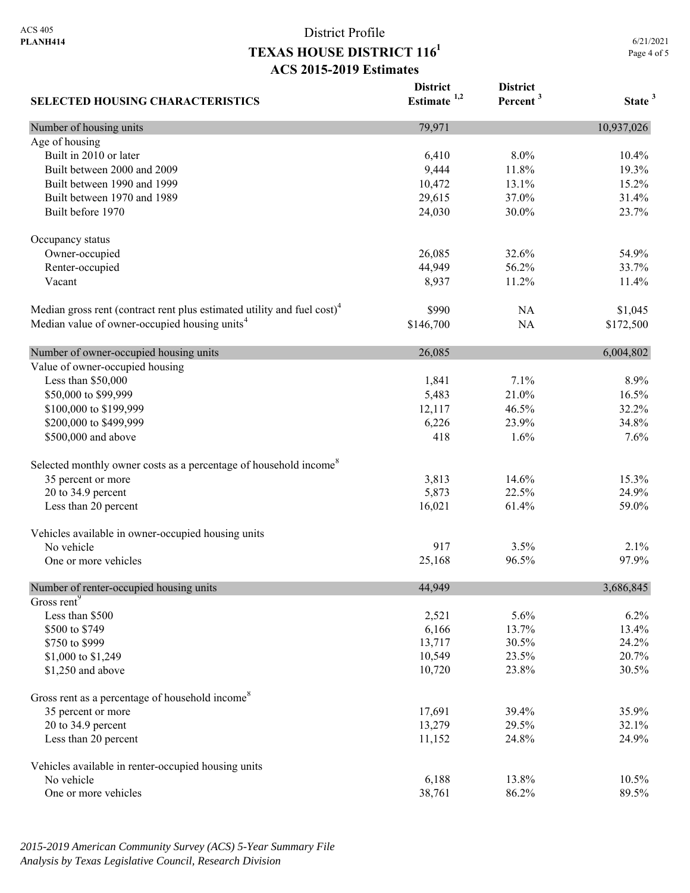**District** 

**District** 

6/21/2021 Page 4 of 5

| <b>SELECTED HOUSING CHARACTERISTICS</b>                                             | Estimate $1,2$ | Percent <sup>3</sup> | State <sup>3</sup> |
|-------------------------------------------------------------------------------------|----------------|----------------------|--------------------|
| Number of housing units                                                             | 79,971         |                      | 10,937,026         |
| Age of housing                                                                      |                |                      |                    |
| Built in 2010 or later                                                              | 6,410          | 8.0%                 | 10.4%              |
| Built between 2000 and 2009                                                         | 9,444          | 11.8%                | 19.3%              |
| Built between 1990 and 1999                                                         | 10,472         | 13.1%                | 15.2%              |
| Built between 1970 and 1989                                                         | 29,615         | 37.0%                | 31.4%              |
| Built before 1970                                                                   | 24,030         | 30.0%                | 23.7%              |
| Occupancy status                                                                    |                |                      |                    |
| Owner-occupied                                                                      | 26,085         | 32.6%                | 54.9%              |
| Renter-occupied                                                                     | 44,949         | 56.2%                | 33.7%              |
| Vacant                                                                              | 8,937          | 11.2%                | 11.4%              |
| Median gross rent (contract rent plus estimated utility and fuel cost) <sup>4</sup> | \$990          | NA                   | \$1,045            |
| Median value of owner-occupied housing units <sup>4</sup>                           | \$146,700      | NA                   | \$172,500          |
| Number of owner-occupied housing units                                              | 26,085         |                      | 6,004,802          |
| Value of owner-occupied housing                                                     |                |                      |                    |
| Less than \$50,000                                                                  | 1,841          | 7.1%                 | 8.9%               |
| \$50,000 to \$99,999                                                                | 5,483          | 21.0%                | 16.5%              |
| \$100,000 to \$199,999                                                              | 12,117         | 46.5%                | 32.2%              |
| \$200,000 to \$499,999                                                              | 6,226          | 23.9%                | 34.8%              |
| \$500,000 and above                                                                 | 418            | 1.6%                 | 7.6%               |
| Selected monthly owner costs as a percentage of household income <sup>8</sup>       |                |                      |                    |
| 35 percent or more                                                                  | 3,813          | 14.6%                | 15.3%              |
| 20 to 34.9 percent                                                                  | 5,873          | 22.5%                | 24.9%              |
| Less than 20 percent                                                                | 16,021         | 61.4%                | 59.0%              |
| Vehicles available in owner-occupied housing units                                  |                |                      |                    |
| No vehicle                                                                          | 917            | 3.5%                 | 2.1%               |
| One or more vehicles                                                                | 25,168         | 96.5%                | 97.9%              |
| Number of renter-occupied housing units                                             | 44,949         |                      | 3,686,845          |
| Gross rent <sup>9</sup>                                                             |                |                      |                    |
| Less than \$500                                                                     | 2,521          | 5.6%                 | 6.2%               |
| \$500 to \$749                                                                      | 6,166          | 13.7%                | 13.4%              |
| \$750 to \$999                                                                      | 13,717         | 30.5%                | 24.2%              |
| \$1,000 to \$1,249                                                                  | 10,549         | 23.5%                | 20.7%              |
| \$1,250 and above                                                                   | 10,720         | 23.8%                | 30.5%              |
| Gross rent as a percentage of household income <sup>8</sup>                         |                |                      |                    |
| 35 percent or more                                                                  | 17,691         | 39.4%                | 35.9%              |
| 20 to 34.9 percent                                                                  | 13,279         | 29.5%                | 32.1%              |
| Less than 20 percent                                                                | 11,152         | 24.8%                | 24.9%              |
| Vehicles available in renter-occupied housing units                                 |                |                      |                    |
| No vehicle                                                                          | 6,188          | 13.8%                | 10.5%              |
| One or more vehicles                                                                | 38,761         | 86.2%                | 89.5%              |